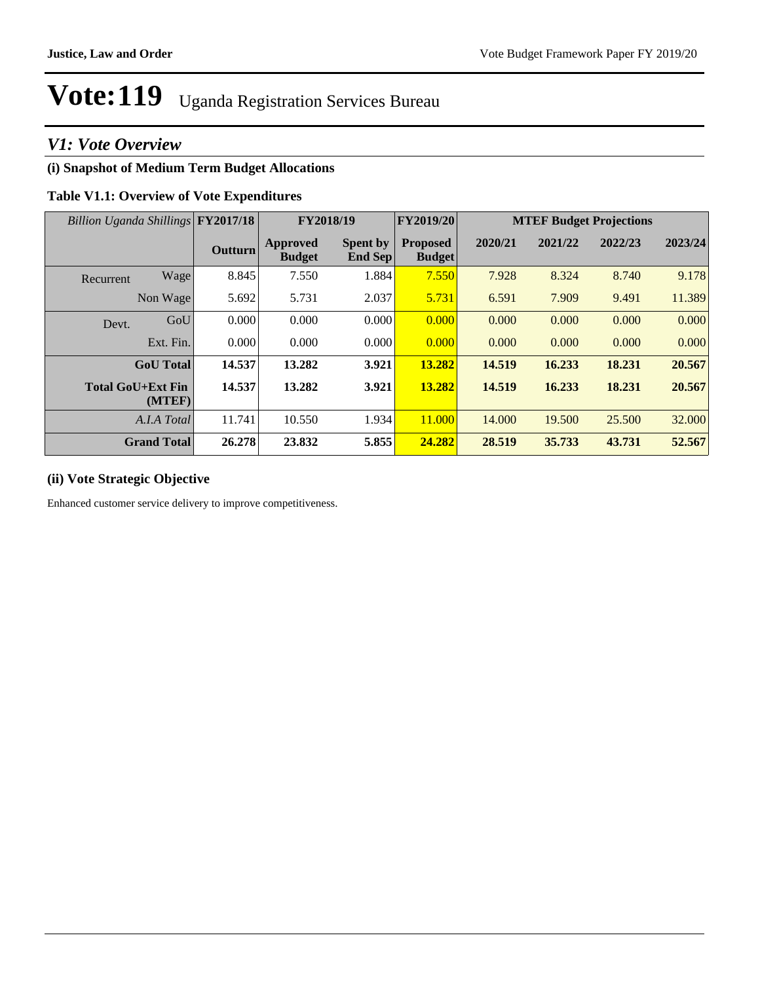### *V1: Vote Overview*

### **(i) Snapshot of Medium Term Budget Allocations**

#### **Table V1.1: Overview of Vote Expenditures**

| Billion Uganda Shillings FY2017/18 |                | FY2018/19                        |                            | FY2019/20                        |         | <b>MTEF Budget Projections</b> |         |         |
|------------------------------------|----------------|----------------------------------|----------------------------|----------------------------------|---------|--------------------------------|---------|---------|
|                                    | <b>Outturn</b> | <b>Approved</b><br><b>Budget</b> | <b>Spent by</b><br>End Sep | <b>Proposed</b><br><b>Budget</b> | 2020/21 | 2021/22                        | 2022/23 | 2023/24 |
| Wage<br>Recurrent                  | 8.845          | 7.550                            | 1.884                      | 7.550                            | 7.928   | 8.324                          | 8.740   | 9.178   |
| Non Wage                           | 5.692          | 5.731                            | 2.037                      | 5.731                            | 6.591   | 7.909                          | 9.491   | 11.389  |
| GoU<br>Devt.                       | 0.000          | 0.000                            | 0.000                      | 0.000                            | 0.000   | 0.000                          | 0.000   | 0.000   |
| Ext. Fin.                          | 0.000          | 0.000                            | 0.000                      | 0.000                            | 0.000   | 0.000                          | 0.000   | 0.000   |
| <b>GoU</b> Total                   | 14.537         | 13.282                           | 3.921                      | 13.282                           | 14.519  | 16.233                         | 18.231  | 20.567  |
| <b>Total GoU+Ext Fin</b><br>(MTEF) | 14.537         | 13.282                           | 3.921                      | 13.282                           | 14.519  | 16.233                         | 18.231  | 20.567  |
| A.I.A Total                        | 11.741         | 10.550                           | 1.934                      | 11.000                           | 14.000  | 19.500                         | 25.500  | 32,000  |
| <b>Grand Total</b>                 | 26.278         | 23.832                           | 5.855                      | 24.282                           | 28.519  | 35.733                         | 43.731  | 52.567  |

#### **(ii) Vote Strategic Objective**

Enhanced customer service delivery to improve competitiveness.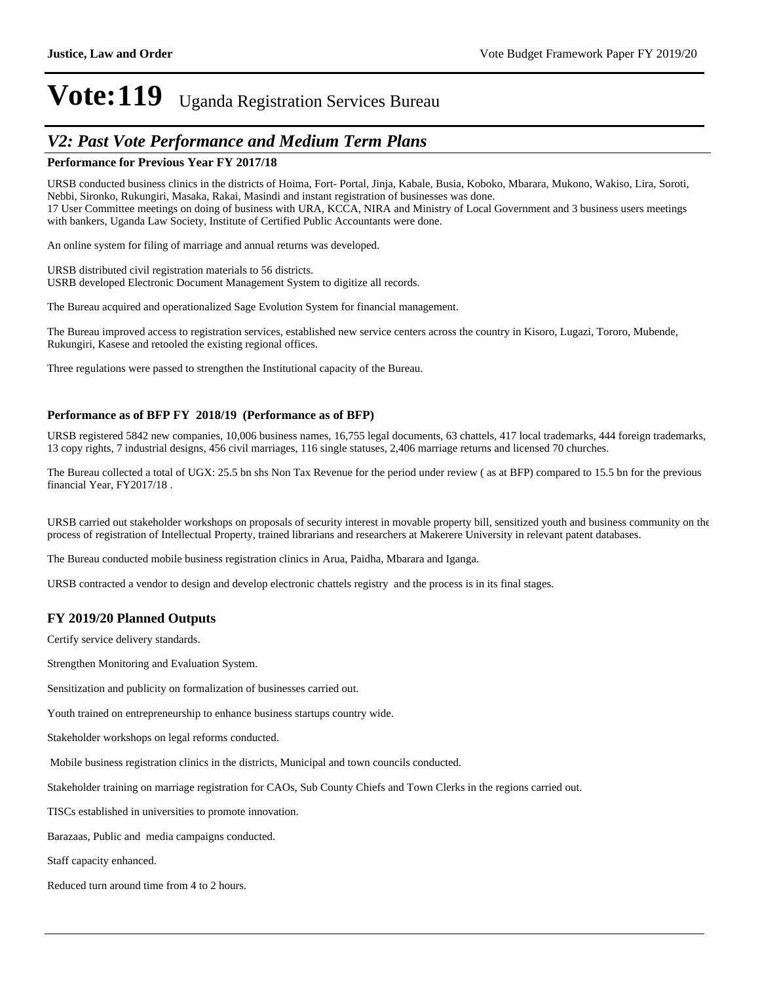### *V2: Past Vote Performance and Medium Term Plans*

#### **Performance for Previous Year FY 2017/18**

URSB conducted business clinics in the districts of Hoima, Fort- Portal, Jinja, Kabale, Busia, Koboko, Mbarara, Mukono, Wakiso, Lira, Soroti, Nebbi, Sironko, Rukungiri, Masaka, Rakai, Masindi and instant registration of businesses was done. 17 User Committee meetings on doing of business with URA, KCCA, NIRA and Ministry of Local Government and 3 business users meetings with bankers, Uganda Law Society, Institute of Certified Public Accountants were done.

An online system for filing of marriage and annual returns was developed.

URSB distributed civil registration materials to 56 districts. USRB developed Electronic Document Management System to digitize all records.

The Bureau acquired and operationalized Sage Evolution System for financial management.

The Bureau improved access to registration services, established new service centers across the country in Kisoro, Lugazi, Tororo, Mubende, Rukungiri, Kasese and retooled the existing regional offices.

Three regulations were passed to strengthen the Institutional capacity of the Bureau.

#### **Performance as of BFP FY 2018/19 (Performance as of BFP)**

URSB registered 5842 new companies, 10,006 business names, 16,755 legal documents, 63 chattels, 417 local trademarks, 444 foreign trademarks, 13 copy rights, 7 industrial designs, 456 civil marriages, 116 single statuses, 2,406 marriage returns and licensed 70 churches.

The Bureau collected a total of UGX: 25.5 bn shs Non Tax Revenue for the period under review ( as at BFP) compared to 15.5 bn for the previous financial Year, FY2017/18 .

URSB carried out stakeholder workshops on proposals of security interest in movable property bill, sensitized youth and business community on the process of registration of Intellectual Property, trained librarians and researchers at Makerere University in relevant patent databases.

The Bureau conducted mobile business registration clinics in Arua, Paidha, Mbarara and Iganga.

URSB contracted a vendor to design and develop electronic chattels registry and the process is in its final stages.

#### **FY 2019/20 Planned Outputs**

Certify service delivery standards.

Strengthen Monitoring and Evaluation System.

Sensitization and publicity on formalization of businesses carried out.

Youth trained on entrepreneurship to enhance business startups country wide.

Stakeholder workshops on legal reforms conducted.

Mobile business registration clinics in the districts, Municipal and town councils conducted.

Stakeholder training on marriage registration for CAOs, Sub County Chiefs and Town Clerks in the regions carried out.

TISCs established in universities to promote innovation.

Barazaas, Public and media campaigns conducted.

Staff capacity enhanced.

Reduced turn around time from 4 to 2 hours.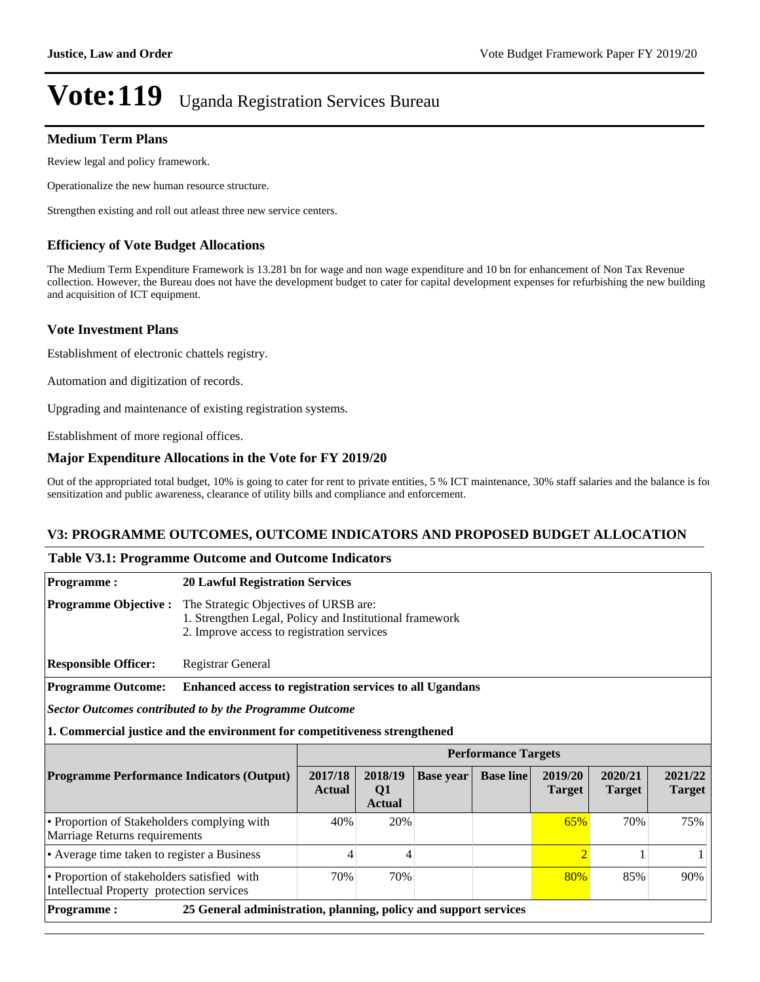#### **Medium Term Plans**

Review legal and policy framework.

Operationalize the new human resource structure.

Strengthen existing and roll out atleast three new service centers.

#### **Efficiency of Vote Budget Allocations**

The Medium Term Expenditure Framework is 13.281 bn for wage and non wage expenditure and 10 bn for enhancement of Non Tax Revenue collection. However, the Bureau does not have the development budget to cater for capital development expenses for refurbishing the new building and acquisition of ICT equipment.

#### **Vote Investment Plans**

Establishment of electronic chattels registry.

Automation and digitization of records.

Upgrading and maintenance of existing registration systems.

Establishment of more regional offices.

#### **Major Expenditure Allocations in the Vote for FY 2019/20**

Out of the appropriated total budget, 10% is going to cater for rent to private entities, 5 % ICT maintenance, 30% staff salaries and the balance is for sensitization and public awareness, clearance of utility bills and compliance and enforcement.

#### **V3: PROGRAMME OUTCOMES, OUTCOME INDICATORS AND PROPOSED BUDGET ALLOCATION**

#### **Table V3.1: Programme Outcome and Outcome Indicators**

| Programme:                                                                                                           |                                                                                                                                                                                                                | <b>20 Lawful Registration Services</b>                                                                                                         |     |  |  |     |     |                          |  |  |
|----------------------------------------------------------------------------------------------------------------------|----------------------------------------------------------------------------------------------------------------------------------------------------------------------------------------------------------------|------------------------------------------------------------------------------------------------------------------------------------------------|-----|--|--|-----|-----|--------------------------|--|--|
| <b>Programme Objective:</b>                                                                                          |                                                                                                                                                                                                                | The Strategic Objectives of URSB are:<br>1. Strengthen Legal, Policy and Institutional framework<br>2. Improve access to registration services |     |  |  |     |     |                          |  |  |
| <b>Responsible Officer:</b>                                                                                          | Registrar General                                                                                                                                                                                              |                                                                                                                                                |     |  |  |     |     |                          |  |  |
| <b>Programme Outcome:</b>                                                                                            |                                                                                                                                                                                                                | Enhanced access to registration services to all Ugandans                                                                                       |     |  |  |     |     |                          |  |  |
| <b>Sector Outcomes contributed to by the Programme Outcome</b>                                                       |                                                                                                                                                                                                                |                                                                                                                                                |     |  |  |     |     |                          |  |  |
| 1. Commercial justice and the environment for competitiveness strengthened                                           |                                                                                                                                                                                                                |                                                                                                                                                |     |  |  |     |     |                          |  |  |
|                                                                                                                      | <b>Performance Targets</b>                                                                                                                                                                                     |                                                                                                                                                |     |  |  |     |     |                          |  |  |
|                                                                                                                      | 2017/18<br>2018/19<br>2020/21<br><b>Programme Performance Indicators (Output)</b><br>2019/20<br><b>Base line</b><br><b>Base year</b><br>Q1<br><b>Actual</b><br><b>Target</b><br><b>Target</b><br><b>Actual</b> |                                                                                                                                                |     |  |  |     |     | 2021/22<br><b>Target</b> |  |  |
| • Proportion of Stakeholders complying with<br>Marriage Returns requirements                                         |                                                                                                                                                                                                                | 40%                                                                                                                                            | 20% |  |  | 65% | 70% | 75%                      |  |  |
|                                                                                                                      | $\overline{2}$<br>• Average time taken to register a Business<br>4<br>4                                                                                                                                        |                                                                                                                                                |     |  |  |     |     |                          |  |  |
| • Proportion of stakeholders satisfied with<br>70%<br>70%<br>85%<br>80%<br>Intellectual Property protection services |                                                                                                                                                                                                                |                                                                                                                                                |     |  |  |     | 90% |                          |  |  |
| <b>Programme:</b>                                                                                                    | 25 General administration, planning, policy and support services                                                                                                                                               |                                                                                                                                                |     |  |  |     |     |                          |  |  |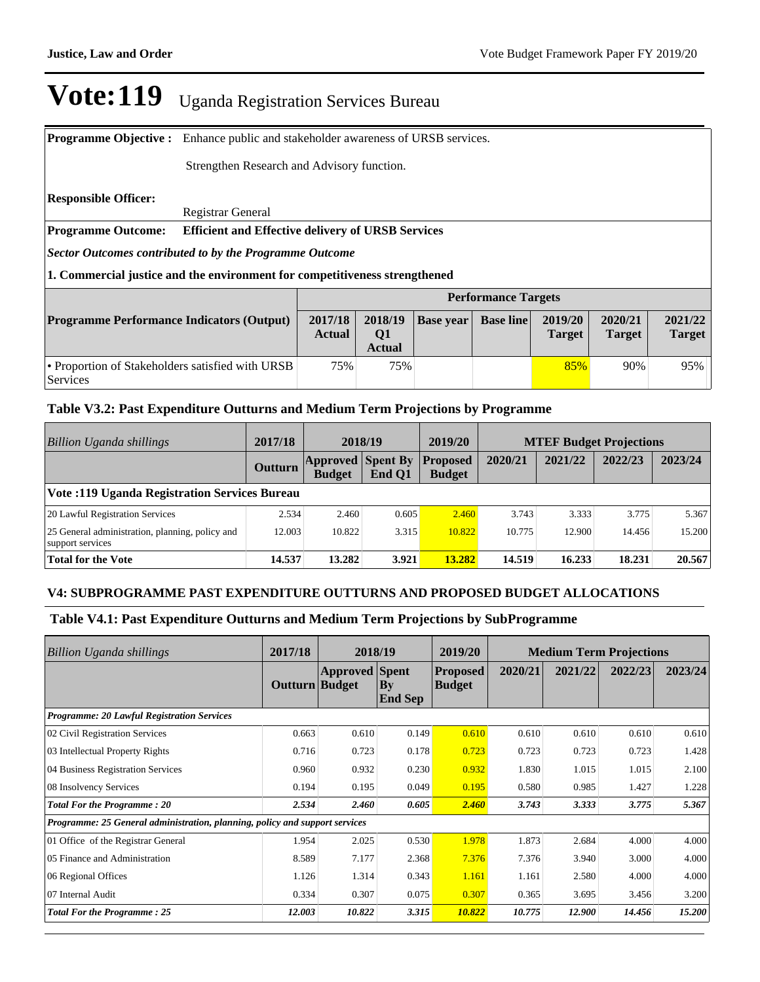**Programme Objective :** Enhance public and stakeholder awareness of URSB services. Strengthen Research and Advisory function. **Responsible Officer:** Registrar General **Programme Outcome: Efficient and Effective delivery of URSB Services** *Sector Outcomes contributed to by the Programme Outcome*

#### **1. Commercial justice and the environment for competitiveness strengthened**

|                                                              | <b>Performance Targets</b> |                                 |                     |                  |                          |                          |                          |  |  |
|--------------------------------------------------------------|----------------------------|---------------------------------|---------------------|------------------|--------------------------|--------------------------|--------------------------|--|--|
| <b>Programme Performance Indicators (Output)</b>             | 2017/18<br><b>Actual</b>   | Q <sub>1</sub><br><b>Actual</b> | $2018/19$ Base year | <b>Base line</b> | 2019/20<br><b>Target</b> | 2020/21<br><b>Target</b> | 2021/22<br><b>Target</b> |  |  |
| • Proportion of Stakeholders satisfied with URSB<br>Services | 75%                        | 75%                             |                     |                  | 85%                      | 90%                      | 95%                      |  |  |

#### **Table V3.2: Past Expenditure Outturns and Medium Term Projections by Programme**

| Billion Uganda shillings                                            | 2017/18        | 2018/19                                   |        | 2019/20                          | <b>MTEF Budget Projections</b> |         |         |         |
|---------------------------------------------------------------------|----------------|-------------------------------------------|--------|----------------------------------|--------------------------------|---------|---------|---------|
|                                                                     | <b>Outturn</b> | <b>Approved Spent By</b><br><b>Budget</b> | End O1 | <b>Proposed</b><br><b>Budget</b> | 2020/21                        | 2021/22 | 2022/23 | 2023/24 |
| Vote :119 Uganda Registration Services Bureau                       |                |                                           |        |                                  |                                |         |         |         |
| 20 Lawful Registration Services                                     | 2.534          | 2.460                                     | 0.605  | 2.460                            | 3.743                          | 3.333   | 3.775   | 5.367   |
| 25 General administration, planning, policy and<br>support services | 12.003         | 10.822                                    | 3.315  | 10.822                           | 10.775                         | 12.900  | 14.456  | 15.200  |
| <b>Total for the Vote</b>                                           | 14.537         | 13.282                                    | 3.921  | 13.282                           | 14.519                         | 16.233  | 18.231  | 20.567  |

#### **V4: SUBPROGRAMME PAST EXPENDITURE OUTTURNS AND PROPOSED BUDGET ALLOCATIONS**

#### **Table V4.1: Past Expenditure Outturns and Medium Term Projections by SubProgramme**

| Billion Uganda shillings                                                    | 2017/18        | 2018/19               |                                          | 2019/20                          | <b>Medium Term Projections</b> |         |         |         |
|-----------------------------------------------------------------------------|----------------|-----------------------|------------------------------------------|----------------------------------|--------------------------------|---------|---------|---------|
|                                                                             | Outturn Budget | <b>Approved</b> Spent | $\mathbf{B}\mathbf{v}$<br><b>End Sep</b> | <b>Proposed</b><br><b>Budget</b> | 2020/21                        | 2021/22 | 2022/23 | 2023/24 |
| <b>Programme: 20 Lawful Registration Services</b>                           |                |                       |                                          |                                  |                                |         |         |         |
| 02 Civil Registration Services                                              | 0.663          | 0.610                 | 0.149                                    | 0.610                            | 0.610                          | 0.610   | 0.610   | 0.610   |
| 03 Intellectual Property Rights                                             | 0.716          | 0.723                 | 0.178                                    | 0.723                            | 0.723                          | 0.723   | 0.723   | 1.428   |
| 04 Business Registration Services                                           | 0.960          | 0.932                 | 0.230                                    | 0.932                            | 1.830                          | 1.015   | 1.015   | 2.100   |
| 08 Insolvency Services                                                      | 0.194          | 0.195                 | 0.049                                    | 0.195                            | 0.580                          | 0.985   | 1.427   | 1.228   |
| <b>Total For the Programme: 20</b>                                          | 2.534          | 2.460                 | 0.605                                    | 2.460                            | 3.743                          | 3.333   | 3.775   | 5.367   |
| Programme: 25 General administration, planning, policy and support services |                |                       |                                          |                                  |                                |         |         |         |
| 01 Office of the Registrar General                                          | 1.954          | 2.025                 | 0.530                                    | 1.978                            | 1.873                          | 2.684   | 4.000   | 4.000   |
| 05 Finance and Administration                                               | 8.589          | 7.177                 | 2.368                                    | 7.376                            | 7.376                          | 3.940   | 3.000   | 4.000   |
| 06 Regional Offices                                                         | 1.126          | 1.314                 | 0.343                                    | 1.161                            | 1.161                          | 2.580   | 4.000   | 4.000   |
| 07 Internal Audit                                                           | 0.334          | 0.307                 | 0.075                                    | 0.307                            | 0.365                          | 3.695   | 3.456   | 3.200   |
| <b>Total For the Programme: 25</b>                                          | 12.003         | 10.822                | 3.315                                    | 10.822                           | 10.775                         | 12.900  | 14.456  | 15.200  |